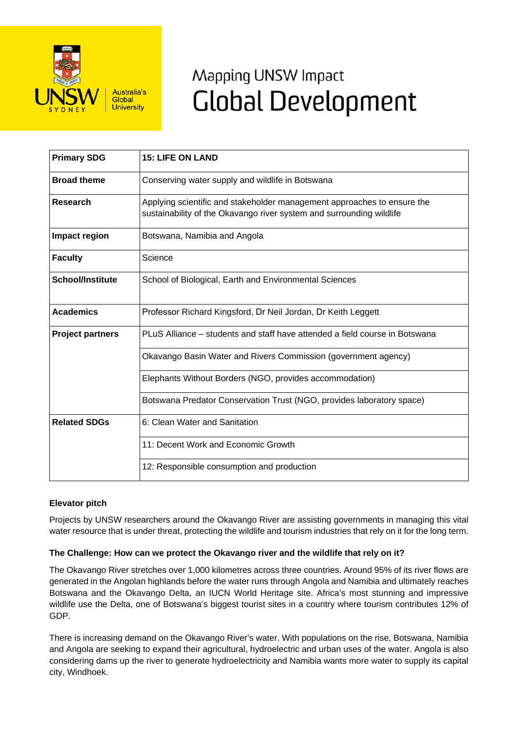

# Mapping UNSW Impact **Global Development**

| <b>Primary SDG</b>      | <b>15: LIFE ON LAND</b>                                                                                                                         |
|-------------------------|-------------------------------------------------------------------------------------------------------------------------------------------------|
| <b>Broad theme</b>      | Conserving water supply and wildlife in Botswana                                                                                                |
| Research                | Applying scientific and stakeholder management approaches to ensure the<br>sustainability of the Okavango river system and surrounding wildlife |
| Impact region           | Botswana, Namibia and Angola                                                                                                                    |
| <b>Faculty</b>          | Science                                                                                                                                         |
| <b>School/Institute</b> | School of Biological, Earth and Environmental Sciences                                                                                          |
| <b>Academics</b>        | Professor Richard Kingsford, Dr Neil Jordan, Dr Keith Leggett                                                                                   |
| <b>Project partners</b> | PLuS Alliance - students and staff have attended a field course in Botswana                                                                     |
|                         | Okavango Basin Water and Rivers Commission (government agency)                                                                                  |
|                         | Elephants Without Borders (NGO, provides accommodation)                                                                                         |
|                         | Botswana Predator Conservation Trust (NGO, provides laboratory space)                                                                           |
| <b>Related SDGs</b>     | 6: Clean Water and Sanitation                                                                                                                   |
|                         | 11: Decent Work and Economic Growth                                                                                                             |
|                         | 12: Responsible consumption and production                                                                                                      |

# **Elevator pitch**

Projects by UNSW researchers around the Okavango River are assisting governments in managing this vital water resource that is under threat, protecting the wildlife and tourism industries that rely on it for the long term.

# **The Challenge: How can we protect the Okavango river and the wildlife that rely on it?**

The Okavango River stretches over 1,000 kilometres across three countries. Around 95% of its river flows are generated in the Angolan highlands before the water runs through Angola and Namibia and ultimately reaches Botswana and the Okavango Delta, an IUCN World Heritage site. Africa's most stunning and impressive wildlife use the Delta, one of Botswana's biggest tourist sites in a country where tourism contributes 12% of GDP.

There is increasing demand on the Okavango River's water. With populations on the rise, Botswana, Namibia and Angola are seeking to expand their agricultural, hydroelectric and urban uses of the water. Angola is also considering dams up the river to generate hydroelectricity and Namibia wants more water to supply its capital city, Windhoek.